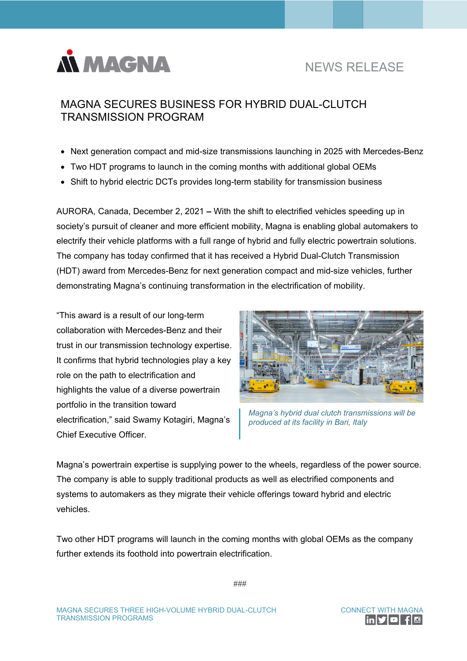

## NEWS RELEASE

## MAGNA SECURES BUSINESS FOR HYBRID DUAL-CLUTCH TRANSMISSION PROGRAM

- Next generation compact and mid-size transmissions launching in 2025 with Mercedes-Benz
- Two HDT programs to launch in the coming months with additional global OEMs
- Shift to hybrid electric DCTs provides long-term stability for transmission business

AURORA, Canada, December 2, 2021 **–** With the shift to electrified vehicles speeding up in society's pursuit of cleaner and more efficient mobility, Magna is enabling global automakers to electrify their vehicle platforms with a full range of hybrid and fully electric powertrain solutions. The company has today confirmed that it has received a Hybrid Dual-Clutch Transmission (HDT) award from Mercedes-Benz for next generation compact and mid-size vehicles, further demonstrating Magna's continuing transformation in the electrification of mobility.

"This award is a result of our long-term collaboration with Mercedes-Benz and their trust in our transmission technology expertise. It confirms that hybrid technologies play a key role on the path to electrification and highlights the value of a diverse powertrain portfolio in the transition toward electrification," said Swamy Kotagiri, Magna's Chief Executive Officer.



*Magna's hybrid dual clutch transmissions will be produced at its facility in Bari, Italy*

Magna's powertrain expertise is supplying power to the wheels, regardless of the power source. The company is able to supply traditional products as well as electrified components and systems to automakers as they migrate their vehicle offerings toward hybrid and electric vehicles.

Two other HDT programs will launch in the coming months with global OEMs as the company further extends its foothold into powertrain electrification.

###